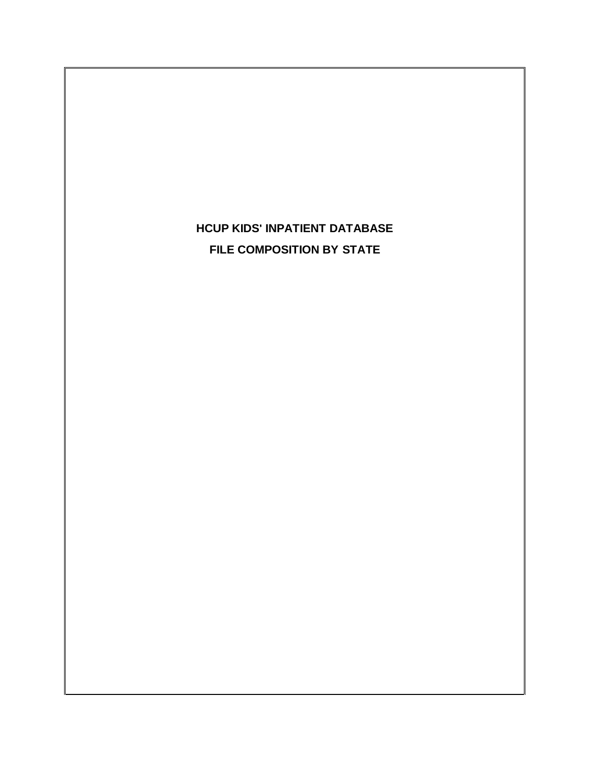# **HCUP KIDS' INPATIENT DATABASE** ' INPATIENT DATABASE<br><mark>IPOSITION BY STATE</mark> **FILE COMPOSITION BY STATE**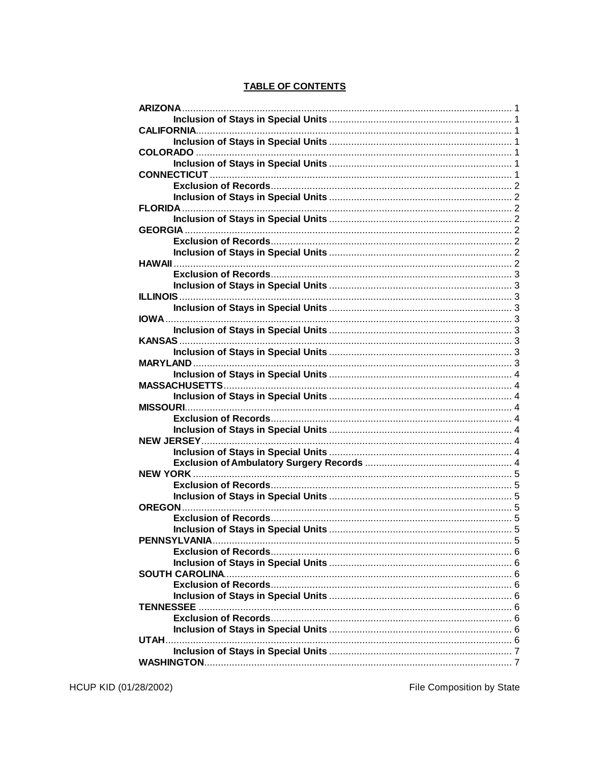| <b>CALIFORNIA.</b> |   |
|--------------------|---|
|                    |   |
|                    |   |
|                    |   |
|                    |   |
|                    |   |
|                    |   |
|                    |   |
|                    |   |
|                    |   |
|                    |   |
|                    |   |
|                    |   |
|                    |   |
|                    |   |
|                    |   |
|                    |   |
|                    |   |
|                    |   |
|                    |   |
|                    |   |
|                    |   |
|                    |   |
| <b>MISSOURI</b>    |   |
|                    |   |
|                    |   |
| <b>NEW JERSEY</b>  |   |
|                    |   |
|                    |   |
|                    |   |
|                    |   |
|                    |   |
|                    |   |
|                    | 5 |
| PENNSYLVANIA       |   |
|                    |   |
|                    |   |
|                    |   |
|                    |   |
|                    |   |
| <b>TENNESSEE</b>   |   |
|                    |   |
|                    |   |
|                    |   |
|                    |   |
|                    |   |

## **TABLE OF CONTENTS**

HCUP KID (01/28/2002)

File Composition by State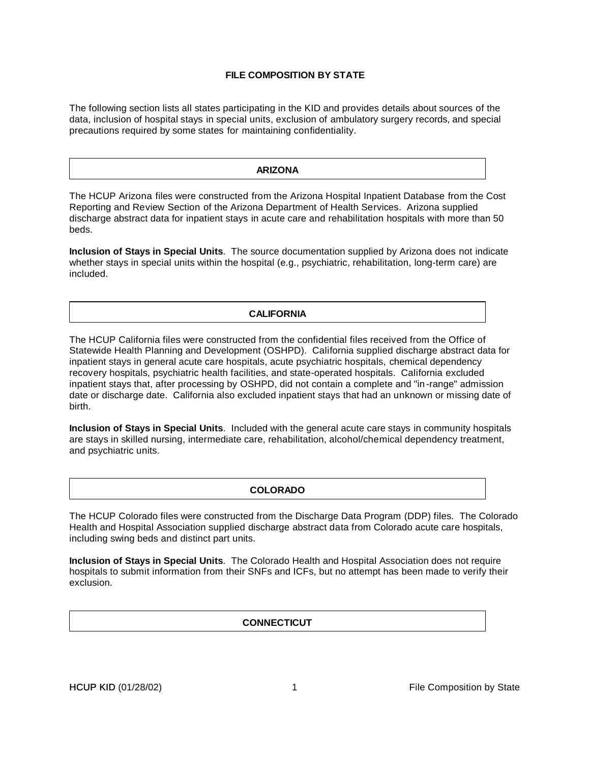## **FILE COMPOSITION BY STATE**

The following section lists all states participating in the KID and provides details about sources of the data, inclusion of hospital stays in special units, exclusion of ambulatory surgery records, and special precautions required by some states for maintaining confidentiality.

#### **ARIZONA**

The HCUP Arizona files were constructed from the Arizona Hospital Inpatient Database from the Cost Reporting and Review Section of the Arizona Department of Health Services. Arizona supplied discharge abstract data for inpatient stays in acute care and rehabilitation hospitals with more than 50 beds.

**Inclusion of Stays in Special Units**. The source documentation supplied by Arizona does not indicate whether stays in special units within the hospital (e.g., psychiatric, rehabilitation, long-term care) are included.

#### **CALIFORNIA**

The HCUP California files were constructed from the confidential files received from the Office of Statewide Health Planning and Development (OSHPD). California supplied discharge abstract data for inpatient stays in general acute care hospitals, acute psychiatric hospitals, chemical dependency recovery hospitals, psychiatric health facilities, and state-operated hospitals. California excluded inpatient stays that, after processing by OSHPD, did not contain a complete and "in -range" admission date or discharge date. California also excluded inpatient stays that had an unknown or missing date of birth.

**Inclusion of Stays in Special Units**. Included with the general acute care stays in community hospitals are stays in skilled nursing, intermediate care, rehabilitation, alcohol/chemical dependency treatment, and psychiatric units.

#### **COLORADO**

The HCUP Colorado files were constructed from the Discharge Data Program (DDP) files. The Colorado Health and Hospital Association supplied discharge abstract data from Colorado acute care hospitals, including swing beds and distinct part units.

**Inclusion of Stays in Special Units**. The Colorado Health and Hospital Association does not require hospitals to submit information from their SNFs and ICFs, but no attempt has been made to verify their exclusion.

#### **CONNECTICUT**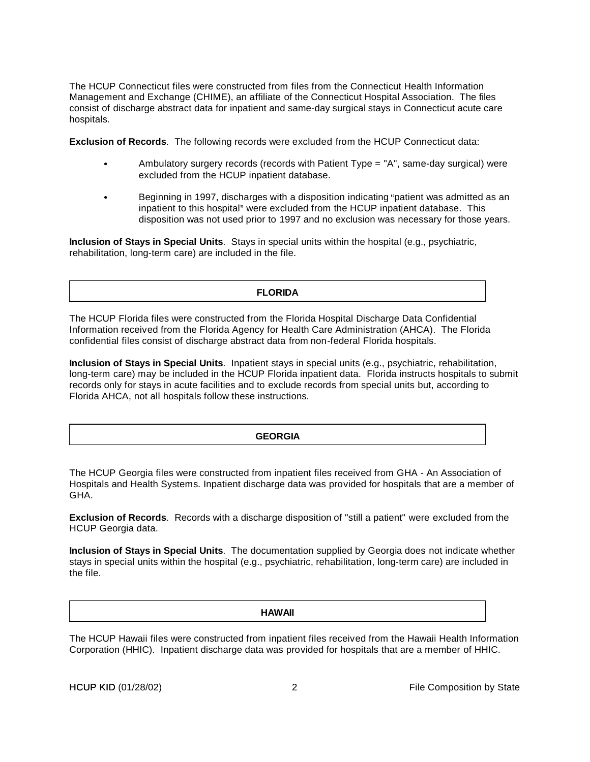The HCUP Connecticut files were constructed from files from the Connecticut Health Information Management and Exchange (CHIME), an affiliate of the Connecticut Hospital Association. The files consist of discharge abstract data for inpatient and same-day surgical stays in Connecticut acute care hospitals.

**Exclusion of Records**. The following records were excluded from the HCUP Connecticut data:

- Ambulatory surgery records (records with Patient Type = "A", same-day surgical) were excluded from the HCUP inpatient database.
- Beginning in 1997, discharges with a disposition indicating "patient was admitted as an<br>inpatient to this hospital" were excluded from the HCUP inpatient database. This<br>disposition was not used prior to 1997 and no exclusi inpatient to this hospital" were excluded from the HCUP inpatient database. This

**Inclusion of Stays in Special Units**. Stays in special units within the hospital (e.g., psychiatric, rehabilitation, long-term care) are included in the file.

#### **FLORIDA**

The HCUP Florida files were constructed from the Florida Hospital Discharge Data Confidential Information received from the Florida Agency for Health Care Administration (AHCA). The Florida confidential files consist of discharge abstract data from non-federal Florida hospitals.

**Inclusion of Stays in Special Units**. Inpatient stays in special units (e.g., psychiatric, rehabilitation, long-term care) may be included in the HCUP Florida inpatient data. Florida instructs hospitals to submit records only for stays in acute facilities and to exclude records from special units but, according to Florida AHCA, not all hospitals follow these instructions.

#### **GEORGIA**

The HCUP Georgia files were constructed from inpatient files received from GHA - An Association of Hospitals and Health Systems. Inpatient discharge data was provided for hospitals that are a member of GHA.

**Exclusion of Records**. Records with a discharge disposition of "still a patient" were excluded from the HCUP Georgia data.

**Inclusion of Stays in Special Units**. The documentation supplied by Georgia does not indicate whether stays in special units within the hospital (e.g., psychiatric, rehabilitation, long-term care) are included in the file.

#### **HAWAII**

The HCUP Hawaii files were constructed from inpatient files received from the Hawaii Health Information Corporation (HHIC). Inpatient discharge data was provided for hospitals that are a member of HHIC.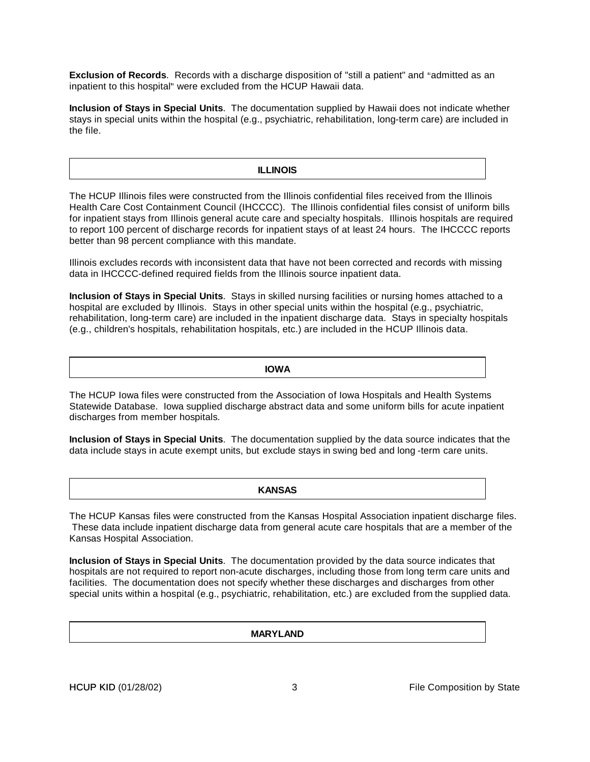**Exclusion of Records**. Records with a discharge disposition of "still a patient" and "admitted as an<br>inpatient to this hospital" were excluded from the HCUP Hawaii data. inpatient to this hospital" were excluded from the HCUP Hawaii data.

-**Inclusion of Stays in Special Units**. The documentation supplied by Hawaii does not indicate whether stays in special units within the hospital (e.g., psychiatric, rehabilitation, long-term care) are included in the file.

#### **ILLINOIS**

The HCUP Illinois files were constructed from the Illinois confidential files received from the Illinois Health Care Cost Containment Council (IHCCCC). The Illinois confidential files consist of uniform bills for inpatient stays from Illinois general acute care and specialty hospitals. Illinois hospitals are required to report 100 percent of discharge records for inpatient stays of at least 24 hours. The IHCCCC reports better than 98 percent compliance with this mandate.

Illinois excludes records with inconsistent data that have not been corrected and records with missing data in IHCCCC-defined required fields from the Illinois source inpatient data.

**Inclusion of Stays in Special Units**. Stays in skilled nursing facilities or nursing homes attached to a hospital are excluded by Illinois. Stays in other special units within the hospital (e.g., psychiatric, rehabilitation, long-term care) are included in the inpatient discharge data. Stays in specialty hospitals (e.g., children's hospitals, rehabilitation hospitals, etc.) are included in the HCUP Illinois data.

**IOWA**

The HCUP Iowa files were constructed from the Association of Iowa Hospitals and Health Systems Statewide Database. Iowa supplied discharge abstract data and some uniform bills for acute inpatient discharges from member hospitals.

**Inclusion of Stays in Special Units**. The documentation supplied by the data source indicates that the data include stays in acute exempt units, but exclude stays in swing bed and long -term care units.

#### **KANSAS**

The HCUP Kansas files were constructed from the Kansas Hospital Association inpatient discharge files. These data include inpatient discharge data from general acute care hospitals that are a member of the Kansas Hospital Association.

**Inclusion of Stays in Special Units**. The documentation provided by the data source indicates that hospitals are not required to report non-acute discharges, including those from long term care units and facilities. The documentation does not specify whether these discharges and discharges from other special units within a hospital (e.g., psychiatric, rehabilitation, etc.) are excluded from the supplied data.

**MARYLAND**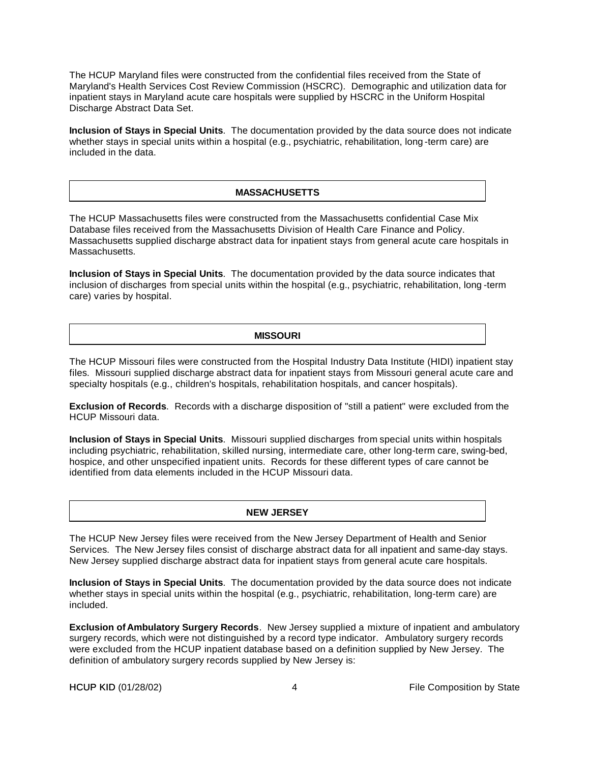The HCUP Maryland files were constructed from the confidential files received from the State of Maryland's Health Services Cost Review Commission (HSCRC). Demographic and utilization data for inpatient stays in Maryland acute care hospitals were supplied by HSCRC in the Uniform Hospital Discharge Abstract Data Set.

**Inclusion of Stays in Special Units**. The documentation provided by the data source does not indicate whether stays in special units within a hospital (e.g., psychiatric, rehabilitation, long-term care) are included in the data.

## **MASSACHUSETTS**

The HCUP Massachusetts files were constructed from the Massachusetts confidential Case Mix Database files received from the Massachusetts Division of Health Care Finance and Policy. Massachusetts supplied discharge abstract data for inpatient stays from general acute care hospitals in Massachusetts.

**Inclusion of Stays in Special Units**. The documentation provided by the data source indicates that inclusion of discharges from special units within the hospital (e.g., psychiatric, rehabilitation, long -term care) varies by hospital.

## **MISSOURI**

The HCUP Missouri files were constructed from the Hospital Industry Data Institute (HIDI) inpatient stay files. Missouri supplied discharge abstract data for inpatient stays from Missouri general acute care and specialty hospitals (e.g., children's hospitals, rehabilitation hospitals, and cancer hospitals).

**Exclusion of Records**. Records with a discharge disposition of "still a patient" were excluded from the HCUP Missouri data.

**Inclusion of Stays in Special Units**. Missouri supplied discharges from special units within hospitals including psychiatric, rehabilitation, skilled nursing, intermediate care, other long-term care, swing-bed, hospice, and other unspecified inpatient units. Records for these different types of care cannot be identified from data elements included in the HCUP Missouri data.

#### **NEW JERSEY**

The HCUP New Jersey files were received from the New Jersey Department of Health and Senior Services. The New Jersey files consist of discharge abstract data for all inpatient and same-day stays. New Jersey supplied discharge abstract data for inpatient stays from general acute care hospitals.

**Inclusion of Stays in Special Units**. The documentation provided by the data source does not indicate whether stays in special units within the hospital (e.g., psychiatric, rehabilitation, long-term care) are included.

**Exclusion of Ambulatory Surgery Records**. New Jersey supplied a mixture of inpatient and ambulatory surgery records, which were not distinguished by a record type indicator. Ambulatory surgery records were excluded from the HCUP inpatient database based on a definition supplied by New Jersey. The definition of ambulatory surgery records supplied by New Jersey is: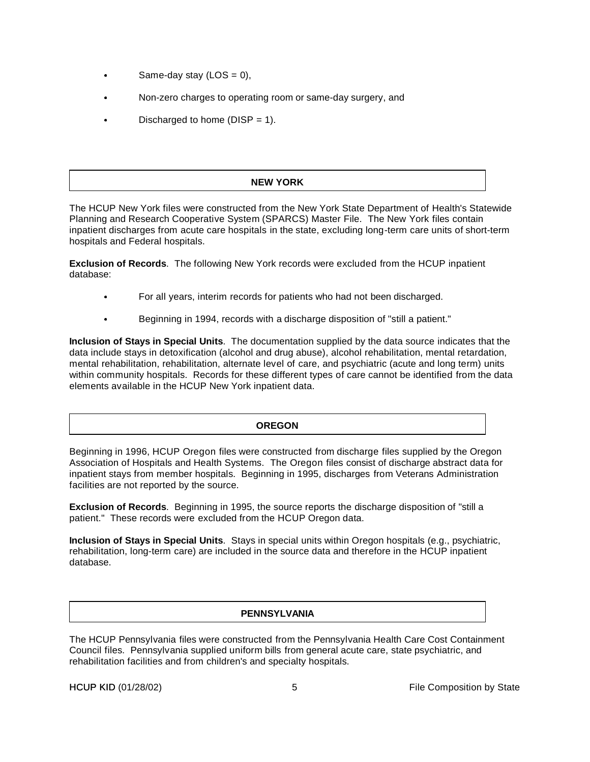- Same-day stay ( $\text{LOS} = 0$ ),
- Non-zero charges to operating room or same-day surgery, and
- Discharged to home ( $DISP = 1$ ).

## **NEW YORK**

The HCUP New York files were constructed from the New York State Department of Health's Statewide Planning and Research Cooperative System (SPARCS) Master File. The New York files contain inpatient discharges from acute care hospitals in the state, excluding long-term care units of short-term hospitals and Federal hospitals.

**Exclusion of Records**. The following New York records were excluded from the HCUP inpatient database:

- For all years, interim records for patients who had not been discharged.
- Beginning in 1994, records with a discharge disposition of "still a patient."

**Inclusion of Stays in Special Units**. The documentation supplied by the data source indicates that the data include stays in detoxification (alcohol and drug abuse), alcohol rehabilitation, mental retardation, mental rehabilitation, rehabilitation, alternate level of care, and psychiatric (acute and long term) units within community hospitals. Records for these different types of care cannot be identified from the data elements available in the HCUP New York inpatient data.

## **OREGON**

Beginning in 1996, HCUP Oregon files were constructed from discharge files supplied by the Oregon Association of Hospitals and Health Systems. The Oregon files consist of discharge abstract data for inpatient stays from member hospitals. Beginning in 1995, discharges from Veterans Administration facilities are not reported by the source.

**Exclusion of Records**. Beginning in 1995, the source reports the discharge disposition of "still a patient." These records were excluded from the HCUP Oregon data.

**Inclusion of Stays in Special Units**. Stays in special units within Oregon hospitals (e.g., psychiatric, rehabilitation, long-term care) are included in the source data and therefore in the HCUP inpatient database.

## **PENNSYLVANIA**

The HCUP Pennsylvania files were constructed from the Pennsylvania Health Care Cost Containment Council files. Pennsylvania supplied uniform bills from general acute care, state psychiatric, and rehabilitation facilities and from children's and specialty hospitals.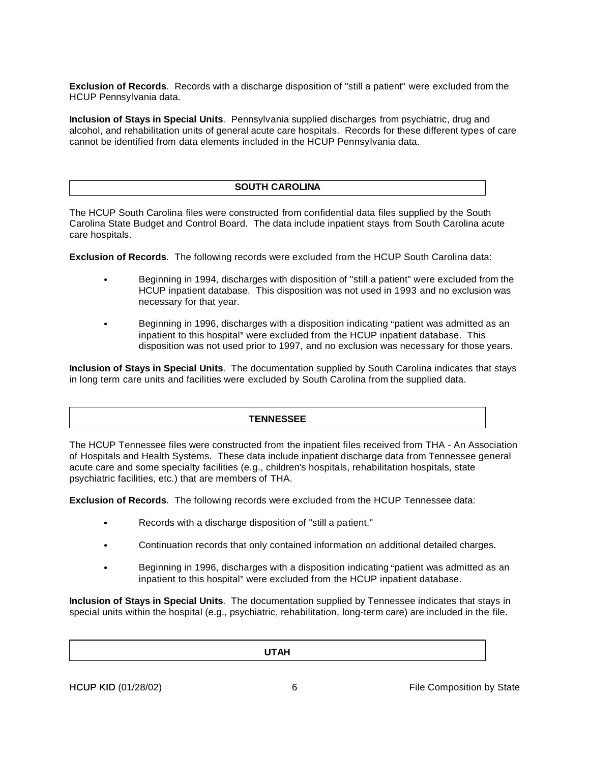**Exclusion of Records**. Records with a discharge disposition of "still a patient" were excluded from the HCUP Pennsylvania data.

**Inclusion of Stays in Special Units**. Pennsylvania supplied discharges from psychiatric, drug and alcohol, and rehabilitation units of general acute care hospitals. Records for these different types of care cannot be identified from data elements included in the HCUP Pennsylvania data.

### **SOUTH CAROLINA**

The HCUP South Carolina files were constructed from confidential data files supplied by the South Carolina State Budget and Control Board. The data include inpatient stays from South Carolina acute care hospitals.

**Exclusion of Records**. The following records were excluded from the HCUP South Carolina data:

- Beginning in 1994, discharges with disposition of "still a patient" were excluded from the HCUP inpatient database. This disposition was not used in 1993 and no exclusion was necessary for that year.
- Beginning in 1996, discharges with a disposition indicating "patient was admitted as an<br>inpatient to this hospital" were excluded from the HCUP inpatient database. This<br>disposition was not used prior to 1997, and no exclus inpatient to this hospital" were excluded from the HCUP inpatient database. This

**Inclusion of Stays in Special Units**. The documentation supplied by South Carolina indicates that stays in long term care units and facilities were excluded by South Carolina from the supplied data.

#### **TENNESSEE**

The HCUP Tennessee files were constructed from the inpatient files received from THA - An Association of Hospitals and Health Systems. These data include inpatient discharge data from Tennessee general acute care and some specialty facilities (e.g., children's hospitals, rehabilitation hospitals, state psychiatric facilities, etc.) that are members of THA.

**Exclusion of Records**. The following records were excluded from the HCUP Tennessee data:

- Records with a discharge disposition of "still a patient."
- Continuation records that only contained information on additional detailed charges.<br>
Reginning in 1996, discharges with a disposition indicating "patient was admitted as
- Beginning in 1996, discharges with a disposition indicating "patient was admitted as an inpatient to this hospital" were excluded from the HCUP inpatient database.

Inclusion of Stays in Special Units. The documentation supplied by Tennessee indicates that stays in special units within the hospital (e.g., psychiatric, rehabilitation, long-term care) are included in the file.

| <b>UTAH</b> |  |
|-------------|--|
|             |  |